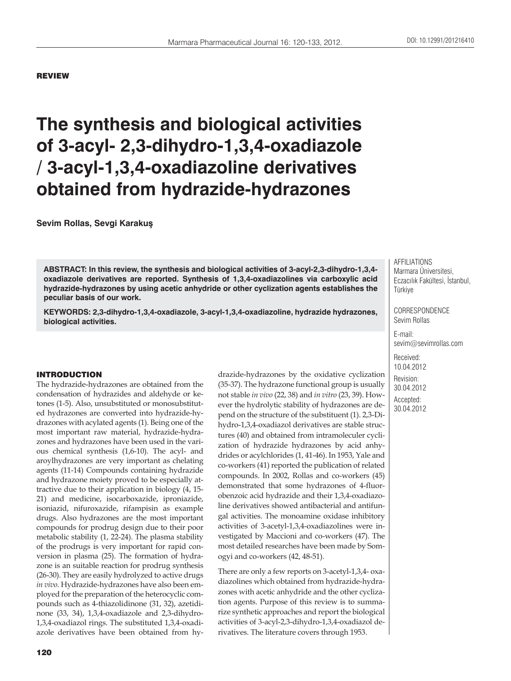#### REVIEW

# **The synthesis and biological activities of 3-acyl- 2,3-dihydro-1,3,4-oxadiazole / 3-acyl-1,3,4-oxadiazoline derivatives obtained from hydrazide-hydrazones**

**Sevim Rollas, Sevgi Karakuş**

**ABSTRACT: In this review, the synthesis and biological activities of 3-acyl-2,3-dihydro-1,3,4 oxadiazole derivatives are reported. Synthesis of 1,3,4-oxadiazolines via carboxylic acid hydrazide-hydrazones by using acetic anhydride or other cyclization agents establishes the peculiar basis of our work.**

**KEYWORDS: 2,3-dihydro-1,3,4-oxadiazole, 3-acyl-1,3,4-oxadiazoline, hydrazide hydrazones, biological activities.**

#### INTRODUCTION

The hydrazide-hydrazones are obtained from the condensation of hydrazides and aldehyde or ketones (1-5). Also, unsubstituted or monosubstituted hydrazones are converted into hydrazide-hydrazones with acylated agents (1). Being one of the most important raw material, hydrazide-hydrazones and hydrazones have been used in the various chemical synthesis (1,6-10). The acyl- and aroylhydrazones are very important as chelating agents (11-14) Compounds containing hydrazide and hydrazone moiety proved to be especially attractive due to their application in biology (4, 15- 21) and medicine, isocarboxazide, iproniazide, isoniazid, nifuroxazide, rifampisin as example drugs. Also hydrazones are the most important compounds for prodrug design due to their poor metabolic stability (1, 22-24). The plasma stability of the prodrugs is very important for rapid conversion in plasma (25). The formation of hydrazone is an suitable reaction for prodrug synthesis (26-30). They are easily hydrolyzed to active drugs *in vivo*. Hydrazide-hydrazones have also been employed for the preparation of the heterocyclic compounds such as 4-thiazolidinone (31, 32), azetidinone (33, 34), 1,3,4-oxadiazole and 2,3-dihydro-1,3,4-oxadiazol rings. The substituted 1,3,4-oxadiazole derivatives have been obtained from hydrazide-hydrazones by the oxidative cyclization (35-37). The hydrazone functional group is usually not stable *in vivo* (22, 38) and *in vitro* (23, 39). However the hydrolytic stability of hydrazones are depend on the structure of the substituent (1). 2,3-Dihydro-1,3,4-oxadiazol derivatives are stable structures (40) and obtained from intramoleculer cyclization of hydrazide hydrazones by acid anhydrides or acylchlorides (1, 41-46). In 1953, Yale and co-workers (41) reported the publication of related compounds. In 2002, Rollas and co-workers (45) demonstrated that some hydrazones of 4-fluorobenzoic acid hydrazide and their 1,3,4-oxadiazoline derivatives showed antibacterial and antifungal activities. The monoamine oxidase inhibitory activities of 3-acetyl-1,3,4-oxadiazolines were investigated by Maccioni and co-workers (47). The most detailed researches have been made by Somogyi and co-workers (42, 48-51).

There are only a few reports on 3-acetyl-1,3,4- oxadiazolines which obtained from hydrazide-hydrazones with acetic anhydride and the other cyclization agents. Purpose of this review is to summarize synthetic approaches and report the biological activities of 3-acyl-2,3-dihydro-1,3,4-oxadiazol derivatives. The literature covers through 1953.

AFFILIATIONS Marmara Üniversitesi, Eczacılık Fakültesi, İstanbul, Türkiye

CORRESPONDENCE Sevim Rollas

E-mail: sevim@sevimrollas.com

Received: 10.04.2012 Revision: 30.04.2012 Accepted: 30.04.2012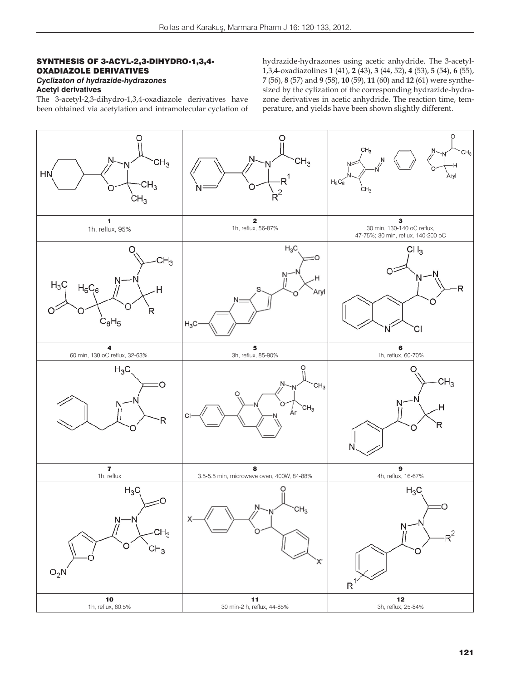### SYNTHESIS OF 3-ACYL-2,3-DIHYDRO-1,3,4- OXADIAZOLE DERIVATIVES *Cyclizaton of hydrazide-hydrazones*

**Acetyl derivatives**

The 3-acetyl-2,3-dihydro-1,3,4-oxadiazole derivatives have been obtained via acetylation and intramolecular cyclation of hydrazide-hydrazones using acetic anhydride. The 3-acetyl-1,3,4-oxadiazolines **1** (41), **2** (43), **3** (44, 52), **4** (53), **5** (54), **6** (55), **7** (56), **8** (57) and **9** (58), **10** (59), **11** (60) and **12** (61) were synthesized by the cylization of the corresponding hydrazide-hydrazone derivatives in acetic anhydride. The reaction time, temperature, and yields have been shown slightly different.

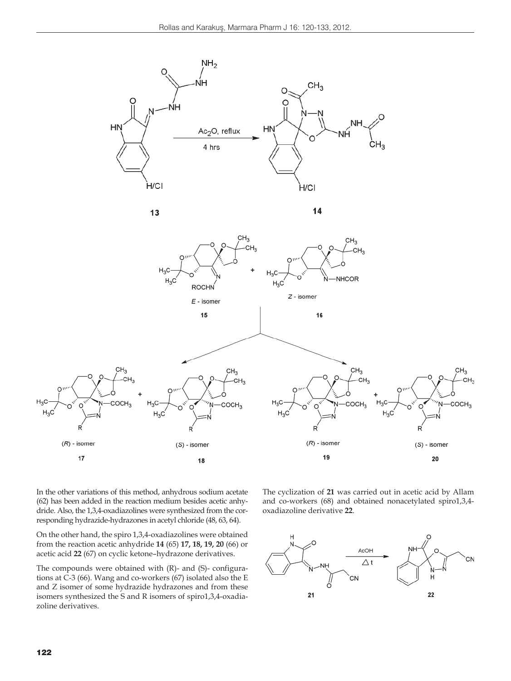



 $14$ 



In the other variations of this method, anhydrous sodium acetate (62) has been added in the reaction medium besides acetic anhydride. Also, the 1,3,4-oxadiazolines were synthesized from the corresponding hydrazide-hydrazones in acetyl chloride (48, 63, 64).

On the other hand, the spiro 1,3,4-oxadiazolines were obtained from the reaction acetic anhydride **14** (65) **17, 18, 19, 20** (66) or acetic acid **22** (67) on cyclic ketone–hydrazone derivatives.

The compounds were obtained with (R)- and (S)- configurations at C-3 (66). Wang and co-workers (67) isolated also the E and Z isomer of some hydrazide hydrazones and from these isomers synthesized the S and R isomers of spiro1,3,4-oxadiazoline derivatives.

The cyclization of **21** was carried out in acetic acid by Allam and co-workers (68) and obtained nonacetylated spiro1,3,4 oxadiazoline derivative **22**.

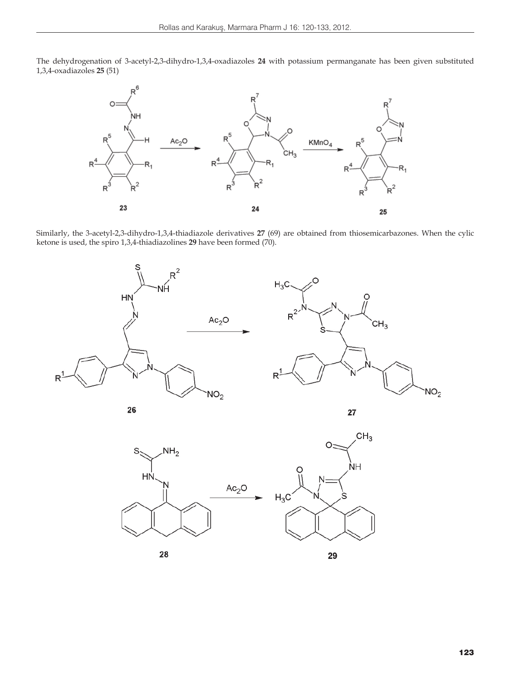The dehydrogenation of 3-acetyl-2,3-dihydro-1,3,4-oxadiazoles **24** with potassium permanganate has been given substituted 1,3,4-oxadiazoles **25** (51)



Similarly, the 3-acetyl-2,3-dihydro-1,3,4-thiadiazole derivatives **27** (69) are obtained from thiosemicarbazones. When the cylic ketone is used, the spiro 1,3,4-thiadiazolines **29** have been formed (70).



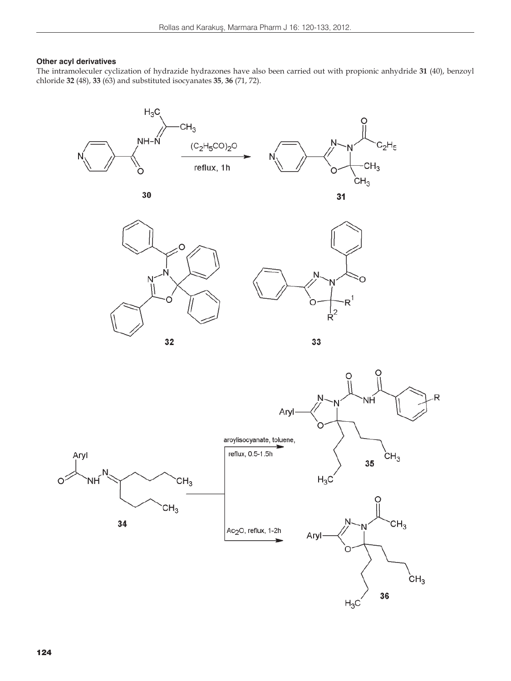## **Other acyl derivatives**

The intramoleculer cyclization of hydrazide hydrazones have also been carried out with propionic anhydride **31** (40), benzoyl chloride **32** (48), **33** (63) and substituted isocyanates **35**, **36** (71, 72).











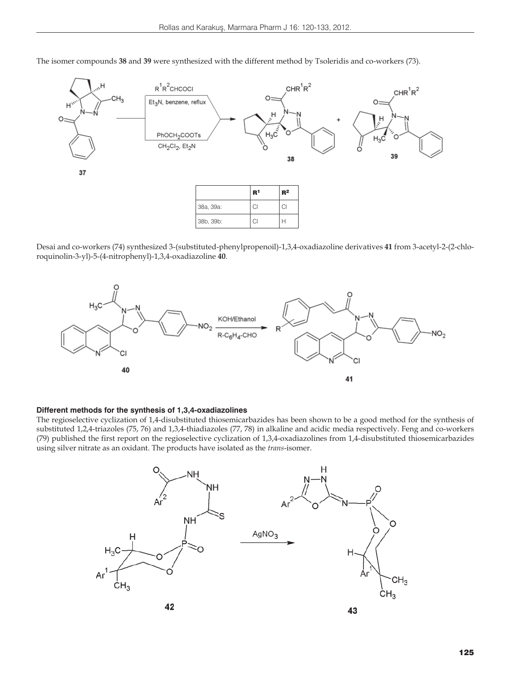

The isomer compounds **38** and **39** were synthesized with the different method by Tsoleridis and co-workers (73).

Desai and co-workers (74) synthesized 3-(substituted-phenylpropenoil)-1,3,4-oxadiazoline derivatives **41** from 3-acetyl-2-(2-chloroquinolin-3-yl)-5-(4-nitrophenyl)-1,3,4-oxadiazoline **40**.



#### **Different methods for the synthesis of 1,3,4-oxadiazolines**

The regioselective cyclization of 1,4-disubstituted thiosemicarbazides has been shown to be a good method for the synthesis of substituted 1,2,4-triazoles (75, 76) and 1,3,4-thiadiazoles (77, 78) in alkaline and acidic media respectively. Feng and co-workers (79) published the first report on the regioselective cyclization of 1,3,4-oxadiazolines from 1,4-disubstituted thiosemicarbazides using silver nitrate as an oxidant. The products have isolated as the *trans*-isomer.

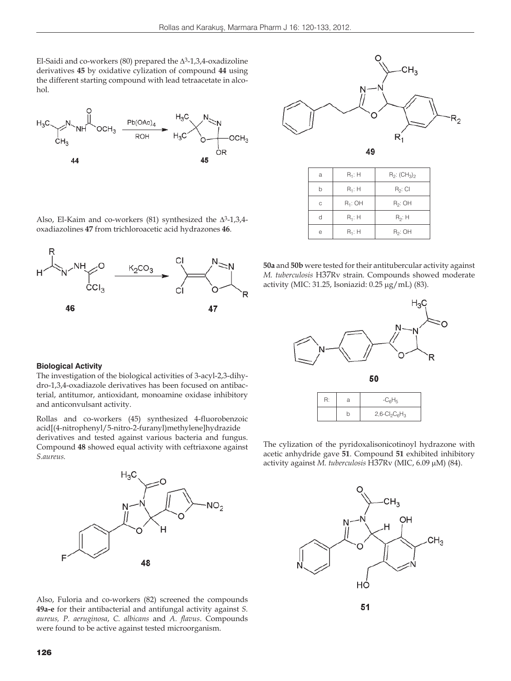El-Saidi and co-workers (80) prepared the  $\Delta$ <sup>3</sup>-1,3,4-oxadizoline derivatives **45** by oxidative cylization of compound **44** using the different starting compound with lead tetraacetate in alcohol.





49

| a | $R_1$ : H  | $R_2$ : $(CH_3)_2$ |
|---|------------|--------------------|
| b | $R_1$ : H  | $R_2$ : Cl         |
| C | $R_1$ : OH | $R_2$ : OH         |
| d | $R_1$ : H  | $R_2$ : H          |
| e | $R_1$ : H  | $R_2$ : OH         |

Also, El-Kaim and co-workers (81) synthesized the  $\Delta^3$ -1,3,4oxadiazolines **47** from trichloroacetic acid hydrazones **46**.



**50a** and **50b** were tested for their antitubercular activity against *M. tuberculosis* H37Rv strain. Compounds showed moderate activity (MIC: 31.25, Isoniazid:  $0.25 \mu g/mL$ ) (83).



The cylization of the pyridoxalisonicotinoyl hydrazone with

b  $2,6-CI_2C_6H_3$ 

acetic anhydride gave **51**. Compound **51** exhibited inhibitory activity against *M. tuberculosis* H37Rv (MIC, 6.09 µM) (84).



#### **Biological Activity**

The investigation of the biological activities of 3-acyl-2,3-dihydro-1,3,4-oxadiazole derivatives has been focused on antibacterial, antitumor, antioxidant, monoamine oxidase inhibitory and anticonvulsant activity.

Rollas and co-workers (45) synthesized 4-fluorobenzoic acid[(4-nitrophenyl/5-nitro-2-furanyl)methylene]hydrazide derivatives and tested against various bacteria and fungus. Compound **48** showed equal activity with ceftriaxone against *S.aureus.*



Also, Fuloria and co-workers (82) screened the compounds **49a-e** for their antibacterial and antifungal activity against *S. aureus, P. aeruginosa*, *C. albicans* and *A. flavus*. Compounds were found to be active against tested microorganism.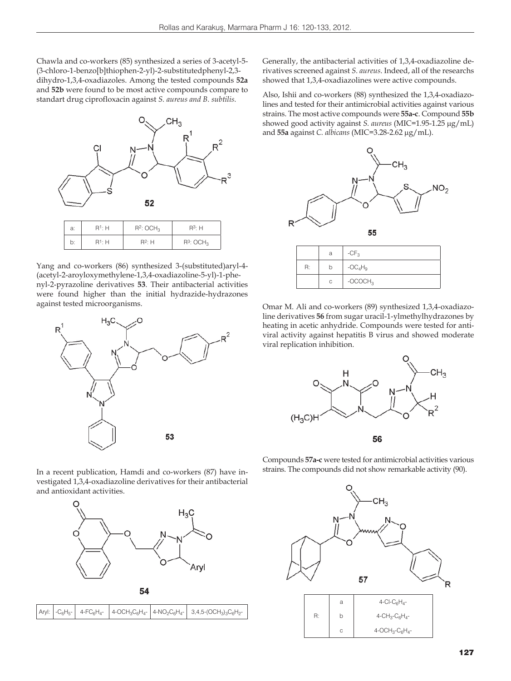Chawla and co-workers (85) synthesized a series of 3-acetyl-5- (3-chloro-1-benzo[b]thiophen-2-yl)-2-substitutedphenyl-2,3 dihydro-1,3,4-oxadiazoles. Among the tested compounds **52a** and **52b** were found to be most active compounds compare to standart drug ciprofloxacin against *S. aureus and B. subtilis.*



Yang and co-workers (86) synthesized 3-(substituted)aryl-4- (acetyl-2-aroyloxymethylene-1,3,4-oxadiazoline-5-yl)-1-phenyl-2-pyrazoline derivatives **53**. Their antibacterial activities were found higher than the initial hydrazide-hydrazones against tested microorganisms.



Generally, the antibacterial activities of 1,3,4-oxadiazoline derivatives screened against *S. aureus*. Indeed, all of the researchs showed that 1,3,4-oxadiazolines were active compounds.

Also, Ishii and co-workers (88) synthesized the 1,3,4-oxadiazolines and tested for their antimicrobial activities against various strains. The most active compounds were **55a-c**. Compound **55b** showed good activity against *S. aureus* (MIC=1.95-1.25 µg/mL) and 55a against *C. albicans* (MIC=3.28-2.62 µg/mL).



Omar M. Ali and co-workers (89) synthesized 1,3,4-oxadiazoline derivatives **56** from sugar uracil-1-ylmethylhydrazones by heating in acetic anhydride. Compounds were tested for antiviral activity against hepatitis B virus and showed moderate viral replication inhibition.



In a recent publication, Hamdi and co-workers (87) have investigated 1,3,4-oxadiazoline derivatives for their antibacterial and antioxidant activities.



| $\boxed{{\rm{Aryl:}}\ \left\lvert\ {\rm{--}}{\rm{C}}_6{\rm{H}}_5\ {\rm{--}}\ \right\rvert\ \ 4\ \textrm{-}\mathrm{FC}_6{\rm{H}}_{4}\ \ \left\lvert\ 4\ \textrm{-OCH}_3{\rm{C}}_6{\rm{H}}_{4}\ \ \right\rvert\ \textrm{4}\ \textrm{-}\mathrm{NO}_2{\rm{C}}_6{\rm{H}}_{4}\ \ \left\lvert\ \ 3,4,5\ \textrm{-}\mathrm{(OCH}_3)_3{\rm{C}}_6{\rm{H}}_2\ \ \right\rvert}$ |
|---------------------------------------------------------------------------------------------------------------------------------------------------------------------------------------------------------------------------------------------------------------------------------------------------------------------------------------------------------------------|
|---------------------------------------------------------------------------------------------------------------------------------------------------------------------------------------------------------------------------------------------------------------------------------------------------------------------------------------------------------------------|

Compounds **57a-c** were tested for antimicrobial activities various strains. The compounds did not show remarkable activity (90).

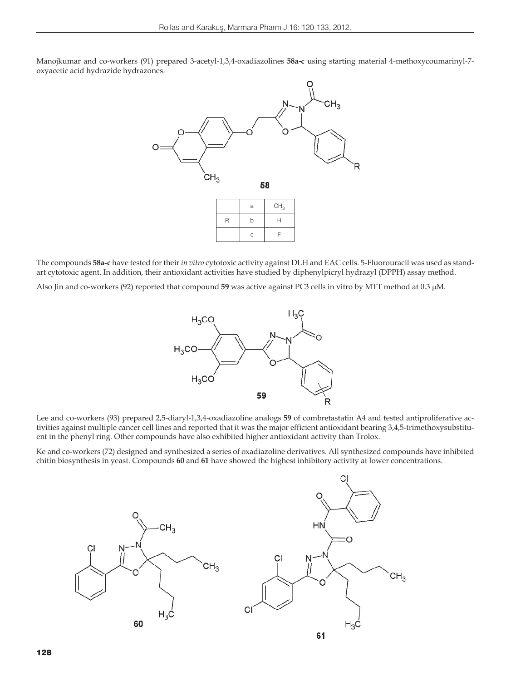Manojkumar and co-workers (91) prepared 3-acetyl-1,3,4-oxadiazolines **58a-c** using starting material 4-methoxycoumarinyl-7 oxyacetic acid hydrazide hydrazones.



The compounds **58a-c** have tested for their *in vitro* cytotoxic activity against DLH and EAC cells. 5-Fluorouracil was used as standart cytotoxic agent. In addition, their antioxidant activities have studied by diphenylpicryl hydrazyl (DPPH) assay method.

Also Jin and co-workers (92) reported that compound **59** was active against PC3 cells in vitro by MTT method at 0.3 μM.



Lee and co-workers (93) prepared 2,5-diaryl-1,3,4-oxadiazoline analogs **59** of combretastatin A4 and tested antiproliferative activities against multiple cancer cell lines and reported that it was the major efficient antioxidant bearing 3,4,5-trimethoxysubstituent in the phenyl ring. Other compounds have also exhibited higher antioxidant activity than Trolox.

Ke and co-workers (72) designed and synthesized a series of oxadiazoline derivatives. All synthesized compounds have inhibited chitin biosynthesis in yeast. Compounds **60** and **61** have showed the highest inhibitory activity at lower concentrations.

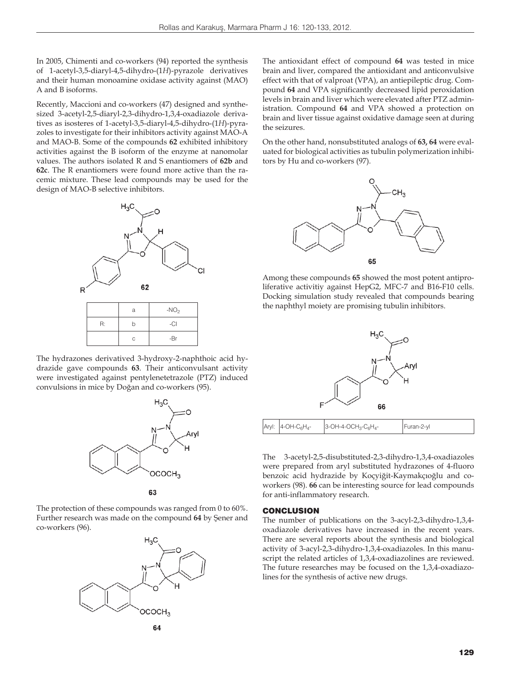In 2005, Chimenti and co-workers (94) reported the synthesis of 1-acetyl-3,5-diaryl-4,5-dihydro-(1*H*)-pyrazole derivatives and their human monoamine oxidase activity against (MAO) A and B isoforms.

Recently, Maccioni and co-workers (47) designed and synthesized 3-acetyl-2,5-diaryl-2,3-dihydro-1,3,4-oxadiazole derivatives as isosteres of 1-acetyl-3,5-diaryl-4,5-dihydro-(1*H*)-pyrazoles to investigate for their inhibitors activity against MAO-A and MAO-B. Some of the compounds **62** exhibited inhibitory activities against the B isoform of the enzyme at nanomolar values. The authors isolated R and S enantiomers of **62b** and **62c**. The R enantiomers were found more active than the racemic mixture. These lead compounds may be used for the design of MAO-B selective inhibitors.



The hydrazones derivatived 3-hydroxy-2-naphthoic acid hydrazide gave compounds **63**. Their anticonvulsant activity were investigated against pentylenetetrazole (PTZ) induced convulsions in mice by Doğan and co-workers (95).



The protection of these compounds was ranged from 0 to 60%. Further research was made on the compound **64** by Şener and co-workers (96).



The antioxidant effect of compound **64** was tested in mice brain and liver, compared the antioxidant and anticonvulsive effect with that of valproat (VPA), an antiepileptic drug. Compound **64** and VPA significantly decreased lipid peroxidation levels in brain and liver which were elevated after PTZ administration. Compound **64** and VPA showed a protection on brain and liver tissue against oxidative damage seen at during the seizures.

On the other hand, nonsubstituted analogs of **63, 64** were evaluated for biological activities as tubulin polymerization inhibitors by Hu and co-workers (97).



Among these compounds **65** showed the most potent antiproliferative activitiy against HepG2, MFC-7 and B16-F10 cells. Docking simulation study revealed that compounds bearing the naphthyl moiety are promising tubulin inhibitors.



The 3-acetyl-2,5-disubstituted-2,3-dihydro-1,3,4-oxadiazoles were prepared from aryl substituted hydrazones of 4-fluoro benzoic acid hydrazide by Koçyiğit-Kaymakçıoğlu and coworkers (98). **66** can be interesting source for lead compounds for anti-inflammatory research.

## **CONCLUSION**

The number of publications on the 3-acyl-2,3-dihydro-1,3,4 oxadiazole derivatives have increased in the recent years. There are several reports about the synthesis and biological activity of 3-acyl-2,3-dihydro-1,3,4-oxadiazoles. In this manuscript the related articles of 1,3,4-oxadiazolines are reviewed. The future researches may be focused on the 1,3,4-oxadiazolines for the synthesis of active new drugs.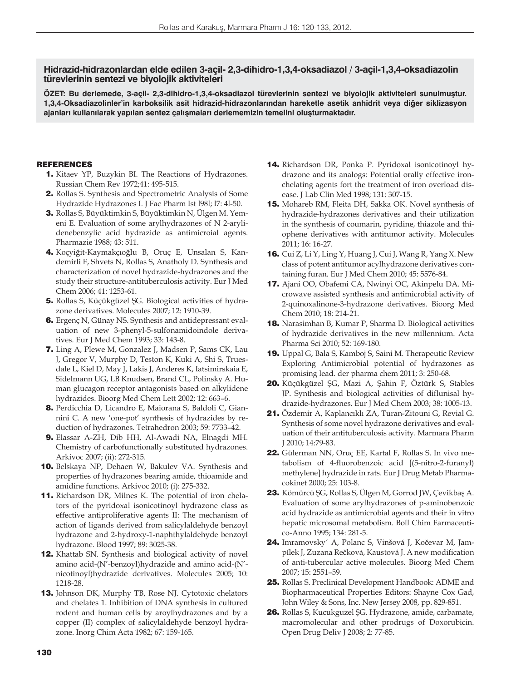## **Hidrazid-hidrazonlardan elde edilen 3-açil- 2,3-dihidro-1,3,4-oksadiazol / 3-açil-1,3,4-oksadiazolin türevlerinin sentezi ve biyolojik aktiviteleri**

**ÖZET: Bu derlemede, 3-açil- 2,3-dihidro-1,3,4-oksadiazol türevlerinin sentezi ve biyolojik aktiviteleri sunulmuştur. 1,3,4-Oksadiazolinler'in karboksilik asit hidrazid-hidrazonlarından hareketle asetik anhidrit veya diğer siklizasyon ajanları kullanılarak yapılan sentez çalışmaları derlememizin temelini oluşturmaktadır.**

## REFERENCES

- 1. Kitaev YP, Buzykin BI. The Reactions of Hydrazones. Russian Chem Rev 1972;41: 495-515.
- 2. Rollas S. Synthesis and Spectrometric Analysis of Some Hydrazide Hydrazones I. J Fac Pharm Ist l98l; l7: 4l-50.
- 3. Rollas S, Büyüktimkin S, Büyüktimkin N, Ülgen M. Yemeni E. Evaluation of some arylhydrazones of N 2-arylidenebenzylic acid hydrazide as antimicroial agents. Pharmazie 1988; 43: 511.
- 4. Koçyiğit-Kaymakçıoğlu B, Oruç E, Unsalan S, Kandemirli F, Shvets N, Rollas S, Anatholy D. Synthesis and characterization of novel hydrazide-hydrazones and the study their structure-antituberculosis activity. Eur J Med Chem 2006; 41: 1253-61.
- 5. Rollas S, Küçükgüzel ŞG. Biological activities of hydrazone derivatives. Molecules 2007; 12: 1910-39.
- 6. Ergenç N, Günay NS. Synthesis and antidepressant evaluation of new 3-phenyl-5-sulfonamidoindole derivatives. Eur J Med Chem 1993; 33: 143-8.
- 7. Ling A, Plewe M, Gonzalez J, Madsen P, Sams CK, Lau J, Gregor V, Murphy D, Teston K, Kuki A, Shi S, Truesdale L, Kiel D, May J, Lakis J, Anderes K, Iatsimirskaia E, Sidelmann UG, LB Knudsen, Brand CL, Polinsky A. Human glucagon receptor antagonists based on alkylidene hydrazides. Bioorg Med Chem Lett 2002; 12: 663–6.
- 8. Perdicchia D, Licandro E, Maiorana S, Baldoli C, Giannini C. A new 'one-pot' synthesis of hydrazides by reduction of hydrazones. Tetrahedron 2003; 59: 7733–42.
- 9. Elassar A-ZH, Dib HH, Al-Awadi NA, Elnagdi MH. Chemistry of carbofunctionally substituted hydrazones. Arkivoc 2007; (ii): 272-315.
- 10. Belskaya NP, Dehaen W, Bakulev VA. Synthesis and properties of hydrazones bearing amide, thioamide and amidine functions. Arkivoc 2010; (i): 275-332.
- 11. Richardson DR, Milnes K. The potential of iron chelators of the pyridoxal isonicotinoyl hydrazone class as effective antiproliferative agents II: The mechanism of action of ligands derived from salicylaldehyde benzoyl hydrazone and 2-hydroxy-1-naphthylaldehyde benzoyl hydrazone. Blood 1997; 89: 3025-38.
- 12. Khattab SN. Synthesis and biological activity of novel amino acid-(N'-benzoyl)hydrazide and amino acid-(N' nicotinoyl)hydrazide derivatives. Molecules 2005; 10: 1218-28.
- 13. Johnson DK, Murphy TB, Rose NJ. Cytotoxic chelators and chelates 1. Inhibition of DNA synthesis in cultured rodent and human cells by aroylhydrazones and by a copper (II) complex of salicylaldehyde benzoyl hydrazone. Inorg Chim Acta 1982; 67: 159-165.
- 14. Richardson DR, Ponka P. Pyridoxal isonicotinoyl hydrazone and its analogs: Potential orally effective ironchelating agents fort the treatment of iron overload disease. J Lab Clin Med 1998; 131: 307-15.
- 15. Mohareb RM, Fleita DH, Sakka OK. Novel synthesis of hydrazide-hydrazones derivatives and their utilization in the synthesis of coumarin, pyridine, thiazole and thiophene derivatives with antitumor activity. Molecules 2011; 16: 16-27.
- **16.** Cui Z, Li Y, Ling Y, Huang J, Cui J, Wang R, Yang X. New class of potent antitumor acylhydrazone derivatives containing furan. Eur J Med Chem 2010; 45: 5576-84.
- 17. Ajani OO, Obafemi CA, Nwinyi OC, Akinpelu DA. Microwave assisted synthesis and antimicrobial activity of 2-quinoxalinone-3-hydrazone derivatives. Bioorg Med Chem 2010; 18: 214-21.
- 18. Narasimhan B, Kumar P, Sharma D. Biological activities of hydrazide derivatives in the new millennium. Acta Pharma Sci 2010; 52: 169-180.
- 19. Uppal G, Bala S, Kamboj S, Saini M. Therapeutic Review Exploring Antimicrobial potential of hydrazones as promising lead. der pharma chem 2011; 3: 250-68.
- 20. Küçükgüzel ŞG, Mazi A, Şahin F, Öztürk S, Stables JP. Synthesis and biological activities of diflunisal hydrazide-hydrazones. Eur J Med Chem 2003; 38: 1005-13.
- 21. Özdemir A, Kaplancıklı ZA, Turan-Zitouni G, Revial G. Synthesis of some novel hydrazone derivatives and evaluation of their antituberculosis activity. Marmara Pharm J 2010; 14:79-83.
- 22. Gülerman NN, Oruç EE, Kartal F, Rollas S. In vivo metabolism of 4-fluorobenzoic acid [(5-nitro-2-furanyl) methylene] hydrazide in rats. Eur J Drug Metab Pharmacokinet 2000; 25: 103-8.
- 23. Kömürcü ŞG, Rollas S, Ülgen M, Gorrod JW, Çevikbaş A. Evaluation of some arylhydrazones of p-aminobenzoic acid hydrazide as antimicrobial agents and their in vitro hepatic microsomal metabolism. Boll Chim Farmaceutico-Anno 1995; 134: 281-5.
- 24. Imramovsky´ A, Polanc S, Vinšová J, Kočevar M, Jampílek J, Zuzana Rečková, Kaustová J. A new modification of anti-tubercular active molecules. Bioorg Med Chem 2007; 15: 2551–59.
- 25. Rollas S. Preclinical Development Handbook: ADME and Biopharmaceutical Properties Editors: Shayne Cox Gad, John Wiley & Sons, Inc. New Jersey 2008, pp. 829-851.
- 26. Rollas S, Kucukguzel ŞG. Hydrazone, amide, carbamate, macromolecular and other prodrugs of Doxorubicin. Open Drug Deliv J 2008; 2: 77-85.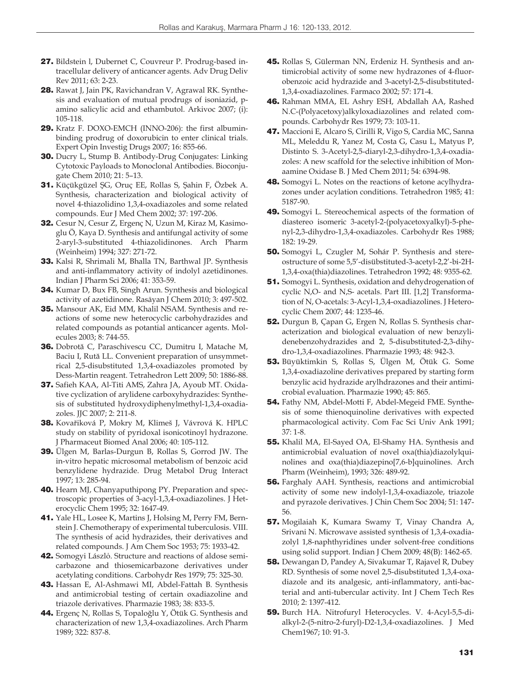- 27. Bildstein l, Dubernet C, Couvreur P. Prodrug-based intracellular delivery of anticancer agents. Adv Drug Deliv Rev 2011; 63: 2-23.
- 28. Rawat J, Jain PK, Ravichandran V, Agrawal RK. Synthesis and evaluation of mutual prodrugs of isoniazid, pamino salicylic acid and ethambutol. Arkivoc 2007; (i): 105-118.
- 29. Kratz F. DOXO-EMCH (INNO-206): the first albuminbinding prodrug of doxorubicin to enter clinical trials. Expert Opin Investig Drugs 2007; 16: 855-66.
- 30. Ducry L, Stump B. Antibody-Drug Conjugates: Linking Cytotoxic Payloads to Monoclonal Antibodies. Bioconjugate Chem 2010; 21: 5–13.
- 31. Küçükgüzel ŞG, Oruç EE, Rollas S, Şahin F, Özbek A. Synthesis, characterization and biological activity of novel 4-thiazolidino 1,3,4-oxadiazoles and some related compounds. Eur J Med Chem 2002; 37: 197-206.
- 32. Cesur N, Cesur Z, Ergenç N, Uzun M, Kiraz M, Kasimoglu Ö, Kaya D. Synthesis and antifungal activity of some 2-aryl-3-substituted 4-thiazolidinones. Arch Pharm (Weinheim) 1994; 327: 271-72.
- 33. Kalsi R, Shrimali M, Bhalla TN, Barthwal JP. Synthesis and anti-inflammatory activity of indolyl azetidinones. Indian J Pharm Sci 2006; 41: 353-59.
- 34. Kumar D, Bux FB, Singh Arun. Synthesis and biological activity of azetidinone. Rasāyan J Chem 2010; 3: 497-502.
- 35. Mansour AK, Eid MM, Khalil NSAM. Synthesis and reactions of some new heterocyclic carbohydrazides and related compounds as potantial anticancer agents. Molecules 2003; 8: 744-55.
- 36. Dobrotă C, Paraschivescu CC, Dumitru I, Matache M, Baciu I, Rută LL. Convenient preparation of unsymmetrical 2,5-disubstituted 1,3,4-oxadiazoles promoted by Dess-Martin reagent. Tetrahedron Lett 2009; 50: 1886-88.
- 37. Safieh KAA, Al-Titi AMS, Zahra JA, Ayoub MT. Oxidative cyclization of arylidene carboxyhydrazides: Synthesis of substituted hydroxydiphenylmethyl-1,3,4-oxadiazoles. JJC 2007; 2: 211-8.
- 38. Kovařiková P, Mokry M, Klimeš J, Vávrová K. HPLC study on stability of pyridoxal isonicotinoyl hydrazone. J Pharmaceut Biomed Anal 2006; 40: 105-112.
- 39. Ülgen M, Barlas-Durgun B, Rollas S, Gorrod JW. The in-vitro hepatic microsomal metabolism of benzoic acid benzylidene hydrazide. Drug Metabol Drug Interact 1997; 13: 285-94.
- 40. Hearn MJ, Chanyaputhipong PY. Preparation and spectroscopic properties of 3-acyl-1,3,4-oxadiazolines. J Heterocyclic Chem 1995; 32: 1647-49.
- 41. Yale HL, Losee K, Martins J, Holsing M, Perry FM, Bernstein J. Chemotherapy of experimental tuberculosis. VIII. The synthesis of acid hydrazides, their derivatives and related compounds. J Am Chem Soc 1953; 75: 1933-42.
- 42. Somogyi Lászlό. Structure and reactions of aldose semicarbazone and thiosemicarbazone derivatives under acetylating conditions. Carbohydr Res 1979; 75: 325-30.
- 43. Hassan E, Al-Ashmawi MI, Abdel-Fattah B. Synthesis and antimicrobial testing of certain oxadiazoline and triazole derivatives. Pharmazie 1983; 38: 833-5.
- 44. Ergenç N, Rollas S, Topaloğlu Y, Ötük G. Synthesis and characterization of new 1,3,4-oxadiazolines. Arch Pharm 1989; 322: 837-8.
- 45. Rollas S, Gülerman NN, Erdeniz H. Synthesis and antimicrobial activity of some new hydrazones of 4-fluorobenzoic acid hydrazide and 3-acetyl-2,5-disubstituted-1,3,4-oxadiazolines. Farmaco 2002; 57: 171-4.
- 46. Rahman MMA, EL Ashry ESH, Abdallah AA, Rashed N.C-(Polyacetoxy)alkyloxadiazolines and related compounds. Carbohydr Res 1979; 73: 103-11.
- 47. Maccioni E, Alcaro S, Cirilli R, Vigo S, Cardia MC, Sanna ML, Meleddu R, Yanez M, Costa G, Casu L, Matyus P, Distinto S. 3-Acetyl-2,5-diaryl-2,3-dihydro-1,3,4-oxadiazoles: A new scaffold for the selective inhibition of Monaamine Oxidase B. J Med Chem 2011; 54: 6394-98.
- 48. Somogyi L. Notes on the reactions of ketone acylhydrazones under acylation conditions. Tetrahedron 1985; 41: 5187-90.
- 49. Somogyi L. Stereochemical aspects of the formation of diastereo isomeric 3-acetyl-2-(polyacetoxyalkyl)-5-phenyl-2,3-dihydro-1,3,4-oxadiazoles. Carbohydr Res 1988; 182: 19-29.
- 50. Somogyi L, Czugler M, Sohár P. Synthesis and stereostructure of some 5,5'-disübstituted-3-acetyl-2,2'-bi-2H-1,3,4-oxa(thia)diazolines. Tetrahedron 1992; 48: 9355-62.
- 51. Somogyi L. Synthesis, oxidation and dehydrogenation of cyclic N,O- and N,S- acetals. Part III. [1,2] Transformation of N, O-acetals: 3-Acyl-1,3,4-oxadiazolines. J Heterocyclic Chem 2007; 44: 1235-46.
- 52. Durgun B, Çapan G, Ergen N, Rollas S. Synthesis characterization and biological evaluation of new benzylidenebenzohydrazides and 2, 5-disubstituted-2,3-dihydro-1,3,4-oxadiazolines. Pharmazie 1993; 48: 942-3.
- 53. Büyüktimkin S, Rollas S, Ülgen M, Ötük G. Some 1,3,4-oxadiazoline derivatives prepared by starting form benzylic acid hydrazide arylhdrazones and their antimicrobial evaluation. Pharmazie 1990; 45: 865.
- 54. Fathy NM, Abdel-Motti F, Abdel-Megeid FME. Synthesis of some thienoquinoline derivatives with expected pharmacological activity. Com Fac Sci Univ Ank 1991; 37: 1-8.
- 55. Khalil MA, El-Sayed OA, El-Shamy HA. Synthesis and antimicrobial evaluation of novel oxa(thia)diazolylquinolines and oxa(thia)diazepino[7,6-b]quinolines. Arch Pharm (Weinheim), 1993; 326: 489-92.
- 56. Farghaly AAH. Synthesis, reactions and antimicrobial activity of some new indolyl-1,3,4-oxadiazole, triazole and pyrazole derivatives. J Chin Chem Soc 2004; 51: 147- 56.
- 57. Mogilaiah K, Kumara Swamy T, Vinay Chandra A, Srivani N. Microwave assisted synthesis of 1,3,4-oxadiazolyl 1,8-naphthyridines under solvent-free conditions using solid support. Indian J Chem 2009; 48(B): 1462-65.
- 58. Dewangan D, Pandey A, Sivakumar T, Rajavel R, Dubey RD. Synthesis of some novel 2,5-disubstituted 1,3,4-oxadiazole and its analgesic, anti-inflammatory, anti-bacterial and anti-tubercular activity. Int J Chem Tech Res 2010; 2: 1397-412.
- 59. Burch HA. Nitrofuryl Heterocycles. V. 4-Acyl-5,5-dialkyl-2-(5-nitro-2-furyl)-D2-1,3,4-oxadiazolines. J Med Chem1967; 10: 91-3.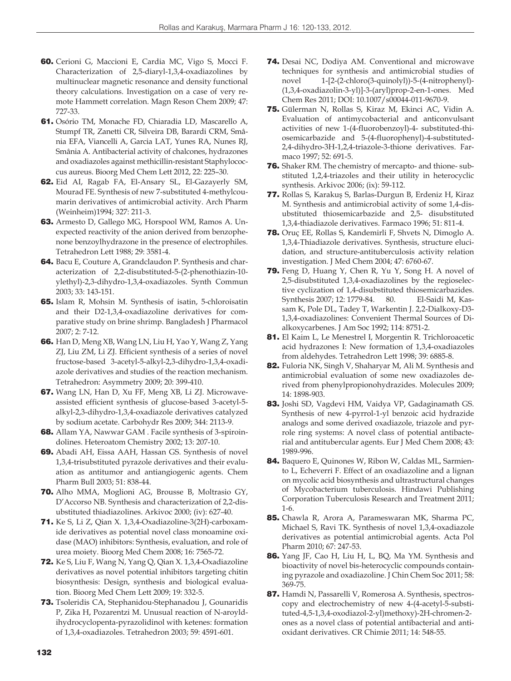- 60. Cerioni G, Maccioni E, Cardia MC, Vigo S, Mocci F. Characterization of 2,5-diaryl-1,3,4-oxadiazolines by multinuclear magnetic resonance and density functional theory calculations. Investigation on a case of very remote Hammett correlation. Magn Reson Chem 2009; 47: 727-33.
- 61. Osório TM, Monache FD, Chiaradia LD, Mascarello A, Stumpf TR, Zanetti CR, Silveira DB, Barardi CRM, Smânia EFA, Viancelli A, Garcia LAT, Yunes RA, Nunes RJ, Smânia A. Antibacterial activity of chalcones, hydrazones and oxadiazoles against methicillin-resistant Staphylococcus aureus. Bioorg Med Chem Lett 2012, 22: 225–30.
- 62. Eid AI, Ragab FA, El-Ansary SL, El-Gazayerly SM, Mourad FE. Synthesis of new 7-substituted 4-methylcoumarin derivatives of antimicrobial activity. Arch Pharm (Weinheim)1994; 327: 211-3.
- 63. Armesto D, Gallego MG, Horspool WM, Ramos A. Unexpected reactivity of the anion derived from benzophenone benzoylhydrazone in the presence of electrophiles. Tetrahedron Lett 1988; 29: 3581-4.
- 64. Bacu E, Couture A, Grandclaudon P. Synthesis and characterization of 2,2-disubstituted-5-(2-phenothiazin-10 ylethyl)-2,3-dihydro-1,3,4-oxadiazoles. Synth Commun 2003; 33: 143-151.
- 65. Islam R, Mohsin M. Synthesis of isatin, 5-chloroisatin and their D2-1,3,4-oxadiazoline derivatives for comparative study on brine shrimp. Bangladesh J Pharmacol 2007; 2: 7-12.
- 66. Han D, Meng XB, Wang LN, Liu H, Yao Y, Wang Z, Yang ZJ, Liu ZM, Li ZJ. Efficient synthesis of a series of novel fructose-based 3-acetyl-5-alkyl-2,3-dihydro-1,3,4-oxadiazole derivatives and studies of the reaction mechanism. Tetrahedron: Asymmetry 2009; 20: 399-410.
- 67. Wang LN, Han D, Xu FF, Meng XB, Li ZJ. Microwaveassisted efficient synthesis of glucose-based 3-acetyl-5 alkyl-2,3-dihydro-1,3,4-oxadiazole derivatives catalyzed by sodium acetate. Carbohydr Res 2009; 344: 2113-9.
- 68. Allam YA, Nawwar GAM . Facile synthesis of 3-spiroindolines. Heteroatom Chemistry 2002; 13: 207-10.
- 69. Abadi AH, Eissa AAH, Hassan GS. Synthesis of novel 1,3,4-trisubstituted pyrazole derivatives and their evaluation as antitumor and antiangiogenic agents. Chem Pharm Bull 2003; 51: 838-44.
- 70. Alho MMA, Moglioni AG, Brousse B, Moltrasio GY, D'Accorso NB. Synthesis and characterization of 2,2-disubstituted thiadiazolines. Arkivoc 2000; (iv): 627-40.
- 71. Ke S, Li Z, Qian X. 1,3,4-Oxadiazoline-3(2H)-carboxamide derivatives as potential novel class monoamine oxidase (MAO) inhibitors: Synthesis, evaluation, and role of urea moiety. Bioorg Med Chem 2008; 16: 7565-72.
- 72. Ke S, Liu F, Wang N, Yang Q, Qian X. 1,3,4-Oxadiazoline derivatives as novel potential inhibitors targeting chitin biosynthesis: Design, synthesis and biological evaluation. Bioorg Med Chem Lett 2009; 19: 332-5.
- 73. Tsoleridis CA, Stephanidou-Stephanadou J, Gounaridis P, Zika H, Pozarentzi M. Unusual reaction of N-aroyldihydrocyclopenta-pyrazolidinol with ketenes: formation of 1,3,4-oxadiazoles. Tetrahedron 2003; 59: 4591-601.
- 74. Desai NC, Dodiya AM. Conventional and microwave techniques for synthesis and antimicrobial studies of novel 1-[2-(2-chloro(3-quinolyl))-5-(4-nitrophenyl)- (1,3,4-oxadiazolin-3-yl)]-3-(aryl)prop-2-en-1-ones. Med Chem Res 2011; DOI: 10.1007/s00044-011-9670-9.
- 75. Gülerman N, Rollas S, Kiraz M, Ekinci AC, Vidin A. Evaluation of antimycobacterial and anticonvulsant activities of new 1-(4-fluorobenzoyl)-4- substituted-thiosemicarbazide and 5-(4-fluorophenyl)-4-substituted-2,4-dihydro-3H-1,2,4-triazole-3-thione derivatives. Farmaco 1997; 52: 691-5.
- 76. Shaker RM. The chemistry of mercapto- and thione- substituted 1,2,4-triazoles and their utility in heterocyclic synthesis. Arkivoc 2006; (ix): 59-112.
- 77. Rollas S, Karakuş S, Barlas-Durgun B, Erdeniz H, Kiraz M. Synthesis and antimicrobial activity of some 1,4-disubstituted thiosemicarbazide and 2,5- disubstituted 1,3,4-thiadiazole derivatives. Farmaco 1996; 51: 811-4.
- 78. Oruç EE, Rollas S, Kandemirli F, Shvets N, Dimoglo A. 1,3,4-Thiadiazole derivatives. Synthesis, structure elucidation, and structure-antituberculosis activity relation investigation. J Med Chem 2004; 47: 6760-67.
- 79. Feng D, Huang Y, Chen R, Yu Y, Song H. A novel of 2,5-disubstituted 1,3,4-oxadiazolines by the regioselective cyclization of 1,4-disubstituted thiosemicarbazides. Synthesis 2007; 12: 1779-84. 80. El-Saidi M, Kassam K, Pole DL, Tadey T, Warkentin J. 2,2-Dialkoxy-D3- 1,3,4-oxadiazolines: Convenient Thermal Sources of Dialkoxycarbenes. J Am Soc 1992; 114: 8751-2.
- 81. El Kaim L, Le Menestrel I, Morgentin R. Trichloroacetic acid hydrazones I: New formation of 1,3,4-oxadiazoles from aldehydes. Tetrahedron Lett 1998; 39: 6885-8.
- 82. Fuloria NK, Singh V, Shaharyar M, Ali M. Synthesis and antimicrobial evaluation of some new oxadiazoles derived from phenylpropionohydrazides. Molecules 2009; 14: 1898-903.
- 83. Joshi SD, Vagdevi HM, Vaidya VP, Gadaginamath GS. Synthesis of new 4-pyrrol-1-yl benzoic acid hydrazide analogs and some derived oxadiazole, triazole and pyrrole ring systems: A novel class of potential antibacterial and antitubercular agents. Eur J Med Chem 2008; 43: 1989-996.
- 84. Baquero E, Quinones W, Ribon W, Caldas ML, Sarmiento L, Echeverri F. Effect of an oxadiazoline and a lignan on mycolic acid biosynthesis and ultrastructural changes of Mycobacterium tuberculosis. Hindawi Publishing Corporation Tuberculosis Research and Treatment 2011; 1-6.
- 85. Chawla R, Arora A, Parameswaran MK, Sharma PC, Michael S, Ravi TK. Synthesis of novel 1,3,4-oxadiazole derivatives as potential antimicrobial agents. Acta Pol Pharm 2010; 67: 247-53.
- 86. Yang JF, Cao H, Liu H, L, BQ, Ma YM. Synthesis and bioactivity of novel bis-heterocyclic compounds containing pyrazole and oxadiazoline. J Chin Chem Soc 2011; 58: 369-75.
- 87. Hamdi N, Passarelli V, Romerosa A. Synthesis, spectroscopy and electrochemistry of new 4-(4-acetyl-5-substituted-4,5-1,3,4-oxodiazol-2-yl)methoxy)-2H-chromen-2 ones as a novel class of potential antibacterial and antioxidant derivatives. CR Chimie 2011; 14: 548-55.